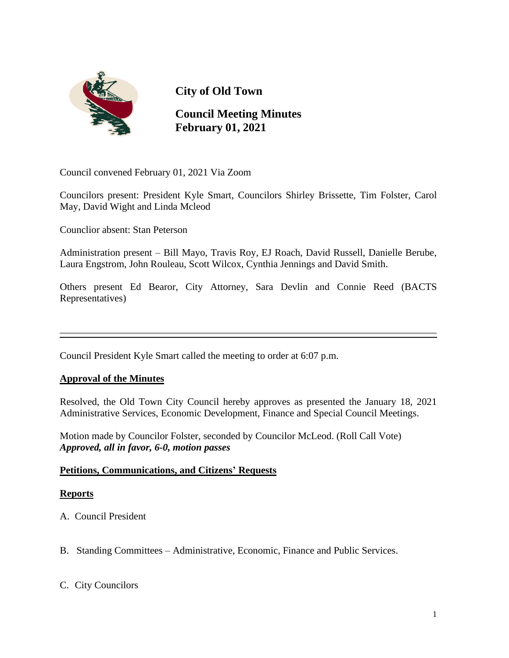

**City of Old Town**

**Council Meeting Minutes February 01, 2021**

Council convened February 01, 2021 Via Zoom

Councilors present: President Kyle Smart, Councilors Shirley Brissette, Tim Folster, Carol May, David Wight and Linda Mcleod

Counclior absent: Stan Peterson

Administration present – Bill Mayo, Travis Roy, EJ Roach, David Russell, Danielle Berube, Laura Engstrom, John Rouleau, Scott Wilcox, Cynthia Jennings and David Smith.

Others present Ed Bearor, City Attorney, Sara Devlin and Connie Reed (BACTS Representatives)

Council President Kyle Smart called the meeting to order at 6:07 p.m.

## **Approval of the Minutes**

Resolved, the Old Town City Council hereby approves as presented the January 18, 2021 Administrative Services, Economic Development, Finance and Special Council Meetings.

Motion made by Councilor Folster, seconded by Councilor McLeod. (Roll Call Vote) *Approved, all in favor, 6-0, motion passes*

#### **Petitions, Communications, and Citizens' Requests**

#### **Reports**

A. Council President

B. Standing Committees – Administrative, Economic, Finance and Public Services.

C. City Councilors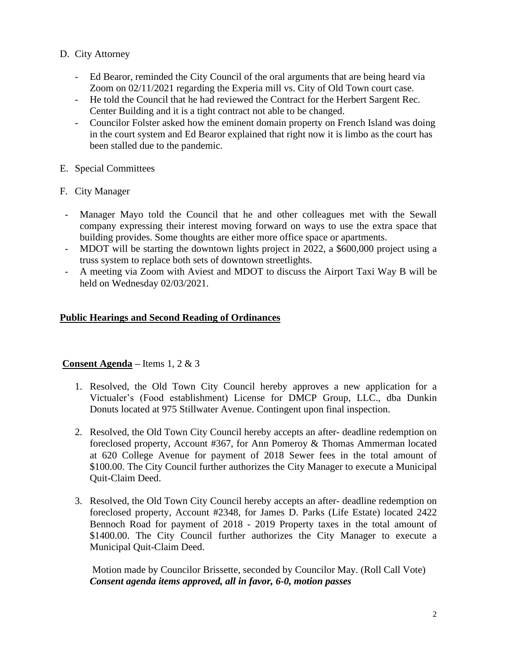# D. City Attorney

- Ed Bearor, reminded the City Council of the oral arguments that are being heard via Zoom on 02/11/2021 regarding the Experia mill vs. City of Old Town court case.
- He told the Council that he had reviewed the Contract for the Herbert Sargent Rec. Center Building and it is a tight contract not able to be changed.
- Councilor Folster asked how the eminent domain property on French Island was doing in the court system and Ed Bearor explained that right now it is limbo as the court has been stalled due to the pandemic.
- E. Special Committees
- F. City Manager
- Manager Mayo told the Council that he and other colleagues met with the Sewall company expressing their interest moving forward on ways to use the extra space that building provides. Some thoughts are either more office space or apartments.
- MDOT will be starting the downtown lights project in 2022, a \$600,000 project using a truss system to replace both sets of downtown streetlights.
- A meeting via Zoom with Aviest and MDOT to discuss the Airport Taxi Way B will be held on Wednesday 02/03/2021.

## **Public Hearings and Second Reading of Ordinances**

## **<u>Consent Agenda</u>** – Items 1, 2 & 3

- 1. Resolved, the Old Town City Council hereby approves a new application for a Victualer's (Food establishment) License for DMCP Group, LLC., dba Dunkin Donuts located at 975 Stillwater Avenue. Contingent upon final inspection.
- 2. Resolved, the Old Town City Council hereby accepts an after- deadline redemption on foreclosed property, Account #367, for Ann Pomeroy & Thomas Ammerman located at 620 College Avenue for payment of 2018 Sewer fees in the total amount of \$100.00. The City Council further authorizes the City Manager to execute a Municipal Quit-Claim Deed.
- 3. Resolved, the Old Town City Council hereby accepts an after- deadline redemption on foreclosed property, Account #2348, for James D. Parks (Life Estate) located 2422 Bennoch Road for payment of 2018 - 2019 Property taxes in the total amount of \$1400.00. The City Council further authorizes the City Manager to execute a Municipal Quit-Claim Deed.

 Motion made by Councilor Brissette, seconded by Councilor May. (Roll Call Vote) *Consent agenda items approved, all in favor, 6-0, motion passes*